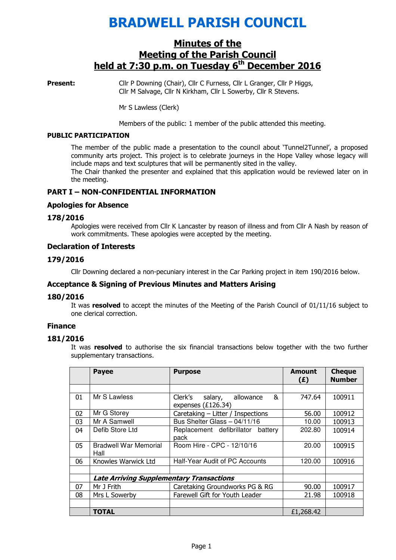# BRADWELL PARISH COUNCIL

# Minutes of the Meeting of the Parish Council held at  $7:30$  p.m. on Tuesday  $6<sup>th</sup>$  December 2016

**Present:** Cllr P Downing (Chair), Cllr C Furness, Cllr L Granger, Cllr P Higgs, Cllr M Salvage, Cllr N Kirkham, Cllr L Sowerby, Cllr R Stevens.

Mr S Lawless (Clerk)

Members of the public: 1 member of the public attended this meeting.

## PUBLIC PARTICIPATION

The member of the public made a presentation to the council about 'Tunnel2Tunnel', a proposed community arts project. This project is to celebrate journeys in the Hope Valley whose legacy will include maps and text sculptures that will be permanently sited in the valley. The Chair thanked the presenter and explained that this application would be reviewed later on in

the meeting.

## PART I – NON-CONFIDENTIAL INFORMATION

## Apologies for Absence

## 178/2016

 Apologies were received from Cllr K Lancaster by reason of illness and from Cllr A Nash by reason of work commitments. These apologies were accepted by the meeting.

#### Declaration of Interests

## 179/2016

Cllr Downing declared a non-pecuniary interest in the Car Parking project in item 190/2016 below.

## Acceptance & Signing of Previous Minutes and Matters Arising

## 180/2016

It was resolved to accept the minutes of the Meeting of the Parish Council of 01/11/16 subject to one clerical correction.

# Finance

## 181/2016

It was resolved to authorise the six financial transactions below together with the two further supplementary transactions.

|    | <b>Payee</b>                                    | <b>Purpose</b>                                             | Amount<br>(E) | <b>Cheque</b><br><b>Number</b> |
|----|-------------------------------------------------|------------------------------------------------------------|---------------|--------------------------------|
|    |                                                 |                                                            |               |                                |
| 01 | Mr S Lawless                                    | &<br>Clerk's<br>allowance<br>salary,<br>expenses (£126.34) | 747.64        | 100911                         |
| 02 | Mr G Storey                                     | Caretaking - Litter / Inspections                          | 56.00         | 100912                         |
| 03 | Mr A Samwell                                    | Bus Shelter Glass - 04/11/16                               | 10.00         | 100913                         |
| 04 | Defib Store Ltd                                 | Replacement defibrillator<br>battery<br>pack               | 202.80        | 100914                         |
| 05 | <b>Bradwell War Memorial</b><br>Hall            | Room Hire - CPC - 12/10/16                                 | 20.00         | 100915                         |
| 06 | Knowles Warwick Ltd                             | Half-Year Audit of PC Accounts                             | 120.00        | 100916                         |
|    |                                                 |                                                            |               |                                |
|    | <b>Late Arriving Supplementary Transactions</b> |                                                            |               |                                |
| 07 | Mr J Frith                                      | Caretaking Groundworks PG & RG                             | 90.00         | 100917                         |
| 08 | Mrs L Sowerby                                   | Farewell Gift for Youth Leader                             | 21.98         | 100918                         |
|    |                                                 |                                                            |               |                                |
|    | TOTAL                                           |                                                            | £1,268,42     |                                |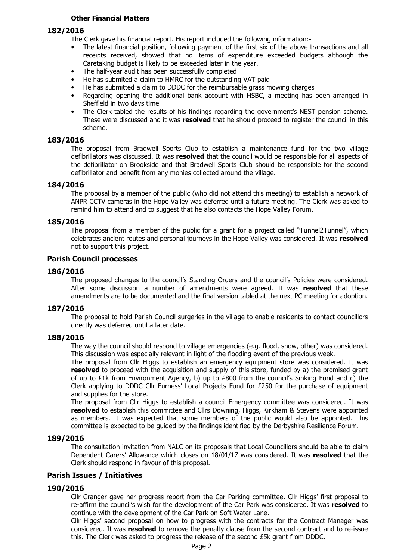## Other Financial Matters

## 182/2016

The Clerk gave his financial report. His report included the following information:-

- The latest financial position, following payment of the first six of the above transactions and all receipts received, showed that no items of expenditure exceeded budgets although the Caretaking budget is likely to be exceeded later in the year.
- The half-year audit has been successfully completed
- He has submited a claim to HMRC for the outstanding VAT paid
- He has submitted a claim to DDDC for the reimbursable grass mowing charges
- Regarding opening the additional bank account with HSBC, a meeting has been arranged in Sheffield in two days time
- The Clerk tabled the results of his findings regarding the government's NEST pension scheme. These were discussed and it was resolved that he should proceed to register the council in this scheme.

## 183/2016

The proposal from Bradwell Sports Club to establish a maintenance fund for the two village defibrillators was discussed. It was resolved that the council would be responsible for all aspects of the defibrillator on Brookside and that Bradwell Sports Club should be responsible for the second defibrillator and benefit from any monies collected around the village.

#### 184/2016

The proposal by a member of the public (who did not attend this meeting) to establish a network of ANPR CCTV cameras in the Hope Valley was deferred until a future meeting. The Clerk was asked to remind him to attend and to suggest that he also contacts the Hope Valley Forum.

## 185/2016

The proposal from a member of the public for a grant for a project called "Tunnel2Tunnel", which celebrates ancient routes and personal journeys in the Hope Valley was considered. It was resolved not to support this project.

#### Parish Council processes

#### 186/2016

The proposed changes to the council's Standing Orders and the council's Policies were considered. After some discussion a number of amendments were agreed. It was resolved that these amendments are to be documented and the final version tabled at the next PC meeting for adoption.

## 187/2016

The proposal to hold Parish Council surgeries in the village to enable residents to contact councillors directly was deferred until a later date.

#### 188/2016

The way the council should respond to village emergencies (e.g. flood, snow, other) was considered. This discussion was especially relevant in light of the flooding event of the previous week.

The proposal from Cllr Higgs to establish an emergency equipment store was considered. It was resolved to proceed with the acquisition and supply of this store, funded by a) the promised grant of up to £1k from Environment Agency, b) up to £800 from the council's Sinking Fund and c) the Clerk applying to DDDC Cllr Furness' Local Projects Fund for £250 for the purchase of equipment and supplies for the store.

The proposal from Cllr Higgs to establish a council Emergency committee was considered. It was resolved to establish this committee and Cllrs Downing, Higgs, Kirkham & Stevens were appointed as members. It was expected that some members of the public would also be appointed. This committee is expected to be guided by the findings identified by the Derbyshire Resilience Forum.

#### 189/2016

The consultation invitation from NALC on its proposals that Local Councillors should be able to claim Dependent Carers' Allowance which closes on 18/01/17 was considered. It was resolved that the Clerk should respond in favour of this proposal.

## Parish Issues / Initiatives

## 190/2016

Cllr Granger gave her progress report from the Car Parking committee. Cllr Higgs' first proposal to re-affirm the council's wish for the development of the Car Park was considered. It was resolved to continue with the development of the Car Park on Soft Water Lane.

Cllr Higgs' second proposal on how to progress with the contracts for the Contract Manager was considered. It was resolved to remove the penalty clause from the second contract and to re-issue this. The Clerk was asked to progress the release of the second £5k grant from DDDC.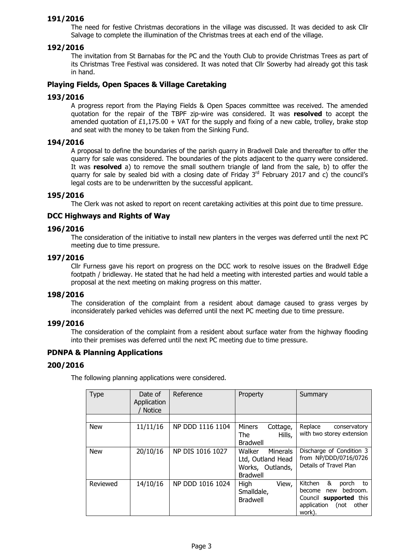## 191/2016

The need for festive Christmas decorations in the village was discussed. It was decided to ask Cllr Salvage to complete the illumination of the Christmas trees at each end of the village.

## 192/2016

The invitation from St Barnabas for the PC and the Youth Club to provide Christmas Trees as part of its Christmas Tree Festival was considered. It was noted that Cllr Sowerby had already got this task in hand.

## Playing Fields, Open Spaces & Village Caretaking

## 193/2016

A progress report from the Playing Fields & Open Spaces committee was received. The amended quotation for the repair of the TBPF zip-wire was considered. It was resolved to accept the amended quotation of  $£1,175.00 + VAT$  for the supply and fixing of a new cable, trolley, brake stop and seat with the money to be taken from the Sinking Fund.

## 194/2016

A proposal to define the boundaries of the parish quarry in Bradwell Dale and thereafter to offer the quarry for sale was considered. The boundaries of the plots adjacent to the quarry were considered. It was resolved a) to remove the small southern triangle of land from the sale, b) to offer the quarry for sale by sealed bid with a closing date of Friday  $3<sup>rd</sup>$  February 2017 and c) the council's legal costs are to be underwritten by the successful applicant.

## 195/2016

The Clerk was not asked to report on recent caretaking activities at this point due to time pressure.

## DCC Highways and Rights of Way

## 196/2016

The consideration of the initiative to install new planters in the verges was deferred until the next PC meeting due to time pressure.

## 197/2016

Cllr Furness gave his report on progress on the DCC work to resolve issues on the Bradwell Edge footpath / bridleway. He stated that he had held a meeting with interested parties and would table a proposal at the next meeting on making progress on this matter.

## 198/2016

The consideration of the complaint from a resident about damage caused to grass verges by inconsiderately parked vehicles was deferred until the next PC meeting due to time pressure.

## 199/2016

The consideration of the complaint from a resident about surface water from the highway flooding into their premises was deferred until the next PC meeting due to time pressure.

## PDNPA & Planning Applications

## 200/2016

The following planning applications were considered.

| <b>Type</b> | Date of<br>Application<br><b>Notice</b> | Reference        | Property                                                                       | Summary                                                                                                                      |
|-------------|-----------------------------------------|------------------|--------------------------------------------------------------------------------|------------------------------------------------------------------------------------------------------------------------------|
|             |                                         |                  |                                                                                |                                                                                                                              |
| <b>New</b>  | 11/11/16                                | NP DDD 1116 1104 | Miners<br>Cottage,<br>Hills,<br>The<br><b>Bradwell</b>                         | Replace<br>conservatory<br>with two storey extension                                                                         |
| <b>New</b>  | 20/10/16                                | NP DIS 1016 1027 | Walker<br>Minerals<br>Ltd, Outland Head<br>Works, Outlands,<br><b>Bradwell</b> | Discharge of Condition 3<br>from NP/DDD/0716/0726<br>Details of Travel Plan                                                  |
| Reviewed    | 14/10/16                                | NP DDD 1016 1024 | High<br>View,<br>Smalldale,<br><b>Bradwell</b>                                 | Kitchen<br>&<br>porch<br>to<br>bedroom.<br>become<br>new<br>Council supported this<br>application<br>(not<br>other<br>work). |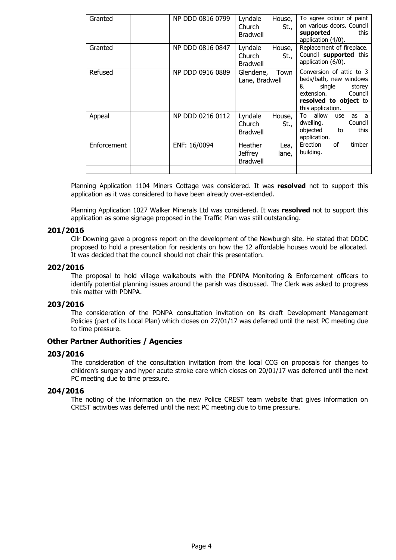| Granted     | NP DDD 0816 0799 | Lyndale<br>Church<br><b>Bradwell</b>         | House,<br>St., | To agree colour of paint<br>on various doors. Council<br>this<br>supported<br>application (4/0).                                                   |
|-------------|------------------|----------------------------------------------|----------------|----------------------------------------------------------------------------------------------------------------------------------------------------|
| Granted     | NP DDD 0816 0847 | Lyndale<br>Church<br><b>Bradwell</b>         | House,<br>St., | Replacement of fireplace.<br>Council supported this<br>application (6/0).                                                                          |
| Refused     | NP DDD 0916 0889 | Glendene,<br>Lane, Bradwell                  | Town           | Conversion of attic to 3<br>beds/bath, new windows<br>&<br>single<br>storey<br>extension.<br>Council<br>resolved to object to<br>this application. |
| Appeal      | NP DDD 0216 0112 | Lyndale<br>Church<br>Bradwell                | House,<br>St., | allow<br>To<br>use<br>as a<br>dwelling.<br>Council<br>objected<br>this<br>to<br>application.                                                       |
| Enforcement | ENF: 16/0094     | Heather<br><b>Jeffrey</b><br><b>Bradwell</b> | Lea,<br>lane,  | οf<br>timber<br>Erection<br>building.                                                                                                              |
|             |                  |                                              |                |                                                                                                                                                    |

Planning Application 1104 Miners Cottage was considered. It was resolved not to support this application as it was considered to have been already over-extended.

Planning Application 1027 Walker Minerals Ltd was considered. It was resolved not to support this application as some signage proposed in the Traffic Plan was still outstanding.

#### 201/2016

Cllr Downing gave a progress report on the development of the Newburgh site. He stated that DDDC proposed to hold a presentation for residents on how the 12 affordable houses would be allocated. It was decided that the council should not chair this presentation.

## 202/2016

The proposal to hold village walkabouts with the PDNPA Monitoring & Enforcement officers to identify potential planning issues around the parish was discussed. The Clerk was asked to progress this matter with PDNPA.

#### 203/2016

The consideration of the PDNPA consultation invitation on its draft Development Management Policies (part of its Local Plan) which closes on 27/01/17 was deferred until the next PC meeting due to time pressure.

## Other Partner Authorities / Agencies

## 203/2016

The consideration of the consultation invitation from the local CCG on proposals for changes to children's surgery and hyper acute stroke care which closes on 20/01/17 was deferred until the next PC meeting due to time pressure.

## 204/2016

The noting of the information on the new Police CREST team website that gives information on CREST activities was deferred until the next PC meeting due to time pressure.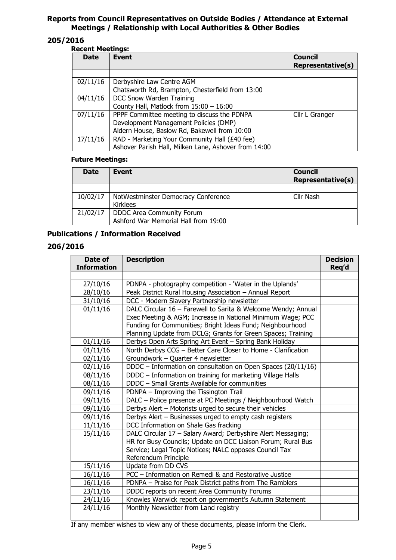# Reports from Council Representatives on Outside Bodies / Attendance at External Meetings / Relationship with Local Authorities & Other Bodies

# 205/2016

## Recent Meetings:

| <b>Date</b> | Event                                                | <b>Council</b><br><b>Representative(s)</b> |
|-------------|------------------------------------------------------|--------------------------------------------|
|             |                                                      |                                            |
| 02/11/16    | Derbyshire Law Centre AGM                            |                                            |
|             | Chatsworth Rd, Brampton, Chesterfield from 13:00     |                                            |
| 04/11/16    | DCC Snow Warden Training                             |                                            |
|             | County Hall, Matlock from $15:00 - 16:00$            |                                            |
| 07/11/16    | PPPF Committee meeting to discuss the PDNPA          | Cllr L Granger                             |
|             | Development Management Policies (DMP)                |                                            |
|             | Aldern House, Baslow Rd, Bakewell from 10:00         |                                            |
| 17/11/16    | RAD - Marketing Your Community Hall (£40 fee)        |                                            |
|             | Ashover Parish Hall, Milken Lane, Ashover from 14:00 |                                            |

## Future Meetings:

| <b>Date</b> | Event                                | <b>Council</b><br><b>Representative(s)</b> |
|-------------|--------------------------------------|--------------------------------------------|
|             |                                      |                                            |
| 10/02/17    | NotWestminster Democracy Conference  | Cllr Nash                                  |
|             | Kirklees                             |                                            |
| 21/02/17    | <b>DDDC Area Community Forum</b>     |                                            |
|             | Ashford War Memorial Hall from 19:00 |                                            |

# Publications / Information Received

# 206/2016

| Date of<br><b>Information</b> | <b>Description</b>                                            | <b>Decision</b><br>Req'd |
|-------------------------------|---------------------------------------------------------------|--------------------------|
|                               |                                                               |                          |
| 27/10/16                      | PDNPA - photography competition - 'Water in the Uplands'      |                          |
| 28/10/16                      | Peak District Rural Housing Association - Annual Report       |                          |
| 31/10/16                      | DCC - Modern Slavery Partnership newsletter                   |                          |
| 01/11/16                      | DALC Circular 16 - Farewell to Sarita & Welcome Wendy; Annual |                          |
|                               | Exec Meeting & AGM; Increase in National Minimum Wage; PCC    |                          |
|                               | Funding for Communities; Bright Ideas Fund; Neighbourhood     |                          |
|                               | Planning Update from DCLG; Grants for Green Spaces; Training  |                          |
| 01/11/16                      | Derbys Open Arts Spring Art Event - Spring Bank Holiday       |                          |
| 01/11/16                      | North Derbys CCG - Better Care Closer to Home - Clarification |                          |
| 02/11/16                      | Groundwork - Quarter 4 newsletter                             |                          |
| 02/11/16                      | DDDC - Information on consultation on Open Spaces (20/11/16)  |                          |
| 08/11/16                      | DDDC - Information on training for marketing Village Halls    |                          |
| 08/11/16                      | DDDC - Small Grants Available for communities                 |                          |
| 09/11/16                      | PDNPA - Improving the Tissington Trail                        |                          |
| 09/11/16                      | DALC - Police presence at PC Meetings / Neighbourhood Watch   |                          |
| 09/11/16                      | Derbys Alert - Motorists urged to secure their vehicles       |                          |
| 09/11/16                      | Derbys Alert - Businesses urged to empty cash registers       |                          |
| 11/11/16                      | DCC Information on Shale Gas fracking                         |                          |
| 15/11/16                      | DALC Circular 17 - Salary Award; Derbyshire Alert Messaging;  |                          |
|                               | HR for Busy Councils; Update on DCC Liaison Forum; Rural Bus  |                          |
|                               | Service; Legal Topic Notices; NALC opposes Council Tax        |                          |
|                               | Referendum Principle                                          |                          |
| 15/11/16                      | Update from DD CVS                                            |                          |
| 16/11/16                      | PCC - Information on Remedi & and Restorative Justice         |                          |
| 16/11/16                      | PDNPA – Praise for Peak District paths from The Ramblers      |                          |
| 23/11/16                      | DDDC reports on recent Area Community Forums                  |                          |
| 24/11/16                      | Knowles Warwick report on government's Autumn Statement       |                          |
| 24/11/16                      | Monthly Newsletter from Land registry                         |                          |
|                               |                                                               |                          |

If any member wishes to view any of these documents, please inform the Clerk.